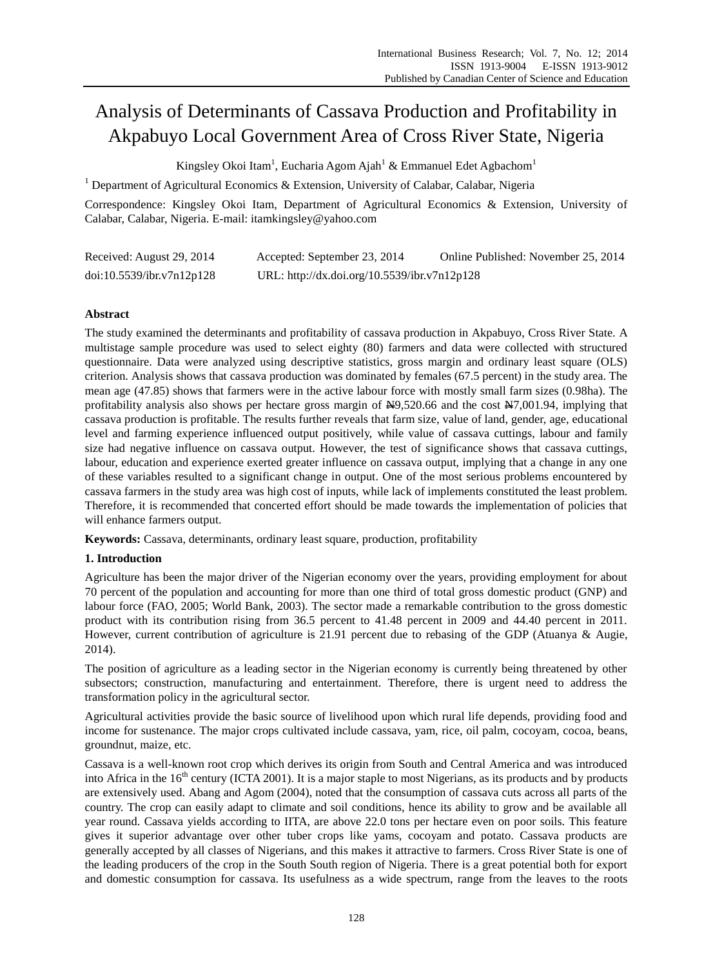# Analysis of Determinants of Cassava Production and Profitability in Akpabuyo Local Government Area of Cross River State, Nigeria

Kingsley Okoi Itam<sup>1</sup>, Eucharia Agom Ajah<sup>1</sup> & Emmanuel Edet Agbachom<sup>1</sup>

<sup>1</sup> Department of Agricultural Economics & Extension, University of Calabar, Calabar, Nigeria

Correspondence: Kingsley Okoi Itam, Department of Agricultural Economics & Extension, University of Calabar, Calabar, Nigeria. E-mail: itamkingsley@yahoo.com

| Received: August 29, 2014 | Accepted: September 23, 2014                 | Online Published: November 25, 2014 |
|---------------------------|----------------------------------------------|-------------------------------------|
| doi:10.5539/ibr.v7n12p128 | URL: http://dx.doi.org/10.5539/ibr.v7n12p128 |                                     |

## **Abstract**

The study examined the determinants and profitability of cassava production in Akpabuyo, Cross River State. A multistage sample procedure was used to select eighty (80) farmers and data were collected with structured questionnaire. Data were analyzed using descriptive statistics, gross margin and ordinary least square (OLS) criterion. Analysis shows that cassava production was dominated by females (67.5 percent) in the study area. The mean age (47.85) shows that farmers were in the active labour force with mostly small farm sizes (0.98ha). The profitability analysis also shows per hectare gross margin of  $\frac{N}{2}$ , 520.66 and the cost  $\frac{N}{2}$ ,001.94, implying that cassava production is profitable. The results further reveals that farm size, value of land, gender, age, educational level and farming experience influenced output positively, while value of cassava cuttings, labour and family size had negative influence on cassava output. However, the test of significance shows that cassava cuttings, labour, education and experience exerted greater influence on cassava output, implying that a change in any one of these variables resulted to a significant change in output. One of the most serious problems encountered by cassava farmers in the study area was high cost of inputs, while lack of implements constituted the least problem. Therefore, it is recommended that concerted effort should be made towards the implementation of policies that will enhance farmers output.

**Keywords:** Cassava, determinants, ordinary least square, production, profitability

## **1. Introduction**

Agriculture has been the major driver of the Nigerian economy over the years, providing employment for about 70 percent of the population and accounting for more than one third of total gross domestic product (GNP) and labour force (FAO, 2005; World Bank, 2003). The sector made a remarkable contribution to the gross domestic product with its contribution rising from 36.5 percent to 41.48 percent in 2009 and 44.40 percent in 2011. However, current contribution of agriculture is 21.91 percent due to rebasing of the GDP (Atuanya & Augie, 2014).

The position of agriculture as a leading sector in the Nigerian economy is currently being threatened by other subsectors; construction, manufacturing and entertainment. Therefore, there is urgent need to address the transformation policy in the agricultural sector.

Agricultural activities provide the basic source of livelihood upon which rural life depends, providing food and income for sustenance. The major crops cultivated include cassava, yam, rice, oil palm, cocoyam, cocoa, beans, groundnut, maize, etc.

Cassava is a well-known root crop which derives its origin from South and Central America and was introduced into Africa in the  $16<sup>th</sup>$  century (ICTA 2001). It is a major staple to most Nigerians, as its products and by products are extensively used. Abang and Agom (2004), noted that the consumption of cassava cuts across all parts of the country. The crop can easily adapt to climate and soil conditions, hence its ability to grow and be available all year round. Cassava yields according to IITA, are above 22.0 tons per hectare even on poor soils. This feature gives it superior advantage over other tuber crops like yams, cocoyam and potato. Cassava products are generally accepted by all classes of Nigerians, and this makes it attractive to farmers. Cross River State is one of the leading producers of the crop in the South South region of Nigeria. There is a great potential both for export and domestic consumption for cassava. Its usefulness as a wide spectrum, range from the leaves to the roots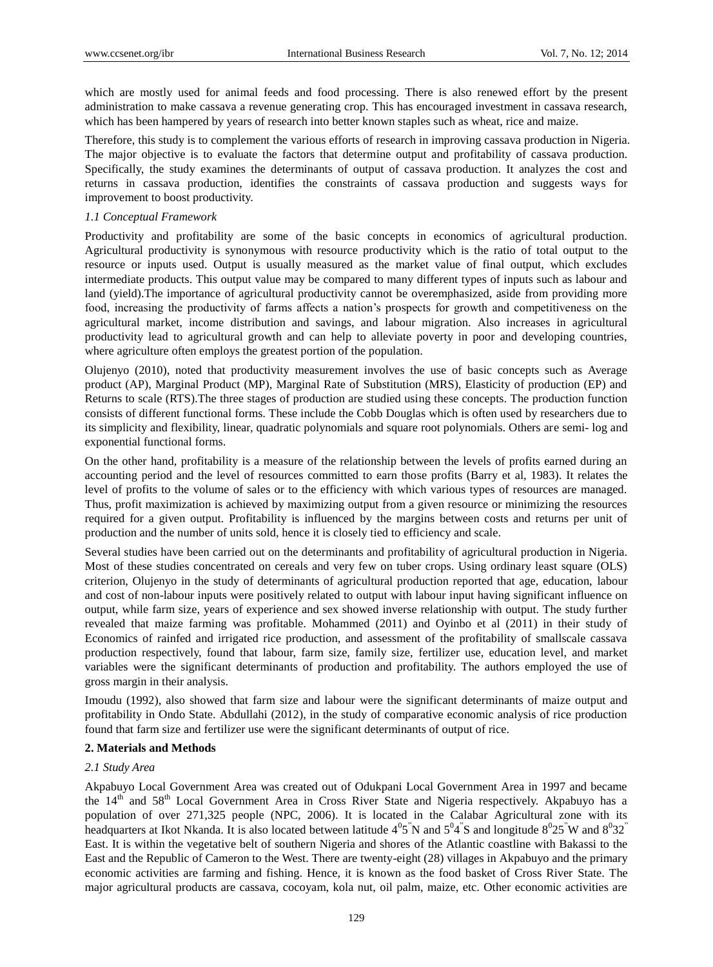which are mostly used for animal feeds and food processing. There is also renewed effort by the present administration to make cassava a revenue generating crop. This has encouraged investment in cassava research, which has been hampered by years of research into better known staples such as wheat, rice and maize.

Therefore, this study is to complement the various efforts of research in improving cassava production in Nigeria. The major objective is to evaluate the factors that determine output and profitability of cassava production. Specifically, the study examines the determinants of output of cassava production. It analyzes the cost and returns in cassava production, identifies the constraints of cassava production and suggests ways for improvement to boost productivity.

#### *1.1 Conceptual Framework*

Productivity and profitability are some of the basic concepts in economics of agricultural production. Agricultural productivity is synonymous with resource productivity which is the ratio of total output to the resource or inputs used. Output is usually measured as the market value of final output, which excludes intermediate products. This output value may be compared to many different types of inputs such as labour and land (yield).The importance of agricultural productivity cannot be overemphasized, aside from providing more food, increasing the productivity of farms affects a nation's prospects for growth and competitiveness on the agricultural market, income distribution and savings, and labour migration. Also increases in agricultural productivity lead to agricultural growth and can help to alleviate poverty in poor and developing countries, where agriculture often employs the greatest portion of the population.

Olujenyo (2010), noted that productivity measurement involves the use of basic concepts such as Average product (AP), Marginal Product (MP), Marginal Rate of Substitution (MRS), Elasticity of production (EP) and Returns to scale (RTS).The three stages of production are studied using these concepts. The production function consists of different functional forms. These include the Cobb Douglas which is often used by researchers due to its simplicity and flexibility, linear, quadratic polynomials and square root polynomials. Others are semi- log and exponential functional forms.

On the other hand, profitability is a measure of the relationship between the levels of profits earned during an accounting period and the level of resources committed to earn those profits (Barry et al, 1983). It relates the level of profits to the volume of sales or to the efficiency with which various types of resources are managed. Thus, profit maximization is achieved by maximizing output from a given resource or minimizing the resources required for a given output. Profitability is influenced by the margins between costs and returns per unit of production and the number of units sold, hence it is closely tied to efficiency and scale.

Several studies have been carried out on the determinants and profitability of agricultural production in Nigeria. Most of these studies concentrated on cereals and very few on tuber crops. Using ordinary least square (OLS) criterion, Olujenyo in the study of determinants of agricultural production reported that age, education, labour and cost of non-labour inputs were positively related to output with labour input having significant influence on output, while farm size, years of experience and sex showed inverse relationship with output. The study further revealed that maize farming was profitable. Mohammed (2011) and Oyinbo et al (2011) in their study of Economics of rainfed and irrigated rice production, and assessment of the profitability of smallscale cassava production respectively, found that labour, farm size, family size, fertilizer use, education level, and market variables were the significant determinants of production and profitability. The authors employed the use of gross margin in their analysis.

Imoudu (1992), also showed that farm size and labour were the significant determinants of maize output and profitability in Ondo State. Abdullahi (2012), in the study of comparative economic analysis of rice production found that farm size and fertilizer use were the significant determinants of output of rice.

#### **2. Materials and Methods**

## *2.1 Study Area*

Akpabuyo Local Government Area was created out of Odukpani Local Government Area in 1997 and became the 14<sup>th</sup> and 58<sup>th</sup> Local Government Area in Cross River State and Nigeria respectively. Akpabuyo has a population of over 271,325 people (NPC, 2006). It is located in the Calabar Agricultural zone with its headquarters at Ikot Nkanda. It is also located between latitude  $4^05$  N and  $5^04$  S and longitude  $8^025$  W and  $8^032$ East. It is within the vegetative belt of southern Nigeria and shores of the Atlantic coastline with Bakassi to the East and the Republic of Cameron to the West. There are twenty-eight (28) villages in Akpabuyo and the primary economic activities are farming and fishing. Hence, it is known as the food basket of Cross River State. The major agricultural products are cassava, cocoyam, kola nut, oil palm, maize, etc. Other economic activities are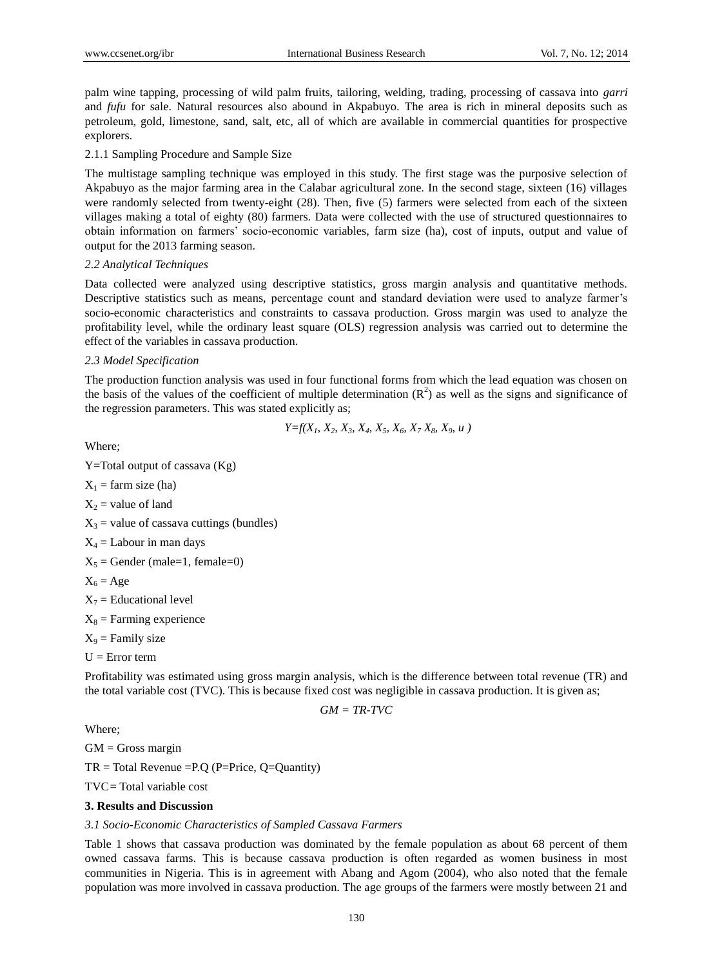palm wine tapping, processing of wild palm fruits, tailoring, welding, trading, processing of cassava into *garri* and *fufu* for sale. Natural resources also abound in Akpabuyo. The area is rich in mineral deposits such as petroleum, gold, limestone, sand, salt, etc, all of which are available in commercial quantities for prospective explorers.

## 2.1.1 Sampling Procedure and Sample Size

The multistage sampling technique was employed in this study. The first stage was the purposive selection of Akpabuyo as the major farming area in the Calabar agricultural zone. In the second stage, sixteen (16) villages were randomly selected from twenty-eight (28). Then, five (5) farmers were selected from each of the sixteen villages making a total of eighty (80) farmers. Data were collected with the use of structured questionnaires to obtain information on farmers' socio-economic variables, farm size (ha), cost of inputs, output and value of output for the 2013 farming season.

## *2.2 Analytical Techniques*

Data collected were analyzed using descriptive statistics, gross margin analysis and quantitative methods. Descriptive statistics such as means, percentage count and standard deviation were used to analyze farmer's socio-economic characteristics and constraints to cassava production. Gross margin was used to analyze the profitability level, while the ordinary least square (OLS) regression analysis was carried out to determine the effect of the variables in cassava production.

### *2.3 Model Specification*

The production function analysis was used in four functional forms from which the lead equation was chosen on the basis of the values of the coefficient of multiple determination  $(R^2)$  as well as the signs and significance of the regression parameters. This was stated explicitly as;

$$
Y=f(X_1, X_2, X_3, X_4, X_5, X_6, X_7 X_8, X_9, u)
$$

Where;

Y=Total output of cassava (Kg)

 $X_1$  = farm size (ha)

 $X_2$  = value of land

 $X_3$  = value of cassava cuttings (bundles)

 $X_4 =$  Labour in man days

 $X_5$  = Gender (male=1, female=0)

$$
X_6 = Age
$$

 $X_7$  = Educational level

- $X_8$  = Farming experience
- $X_9$  = Family size
- $U = Error$  term

Profitability was estimated using gross margin analysis, which is the difference between total revenue (TR) and the total variable cost (TVC). This is because fixed cost was negligible in cassava production. It is given as;

$$
GM = TR\text{-}TVC
$$

Where;

 $GM =$  Gross margin

 $TR = Total Revenue = P.Q (P = Price, Q = Quantity)$ 

TVC= Total variable cost

## **3. Results and Discussion**

#### *3.1 Socio-Economic Characteristics of Sampled Cassava Farmers*

Table 1 shows that cassava production was dominated by the female population as about 68 percent of them owned cassava farms. This is because cassava production is often regarded as women business in most communities in Nigeria. This is in agreement with Abang and Agom (2004), who also noted that the female population was more involved in cassava production. The age groups of the farmers were mostly between 21 and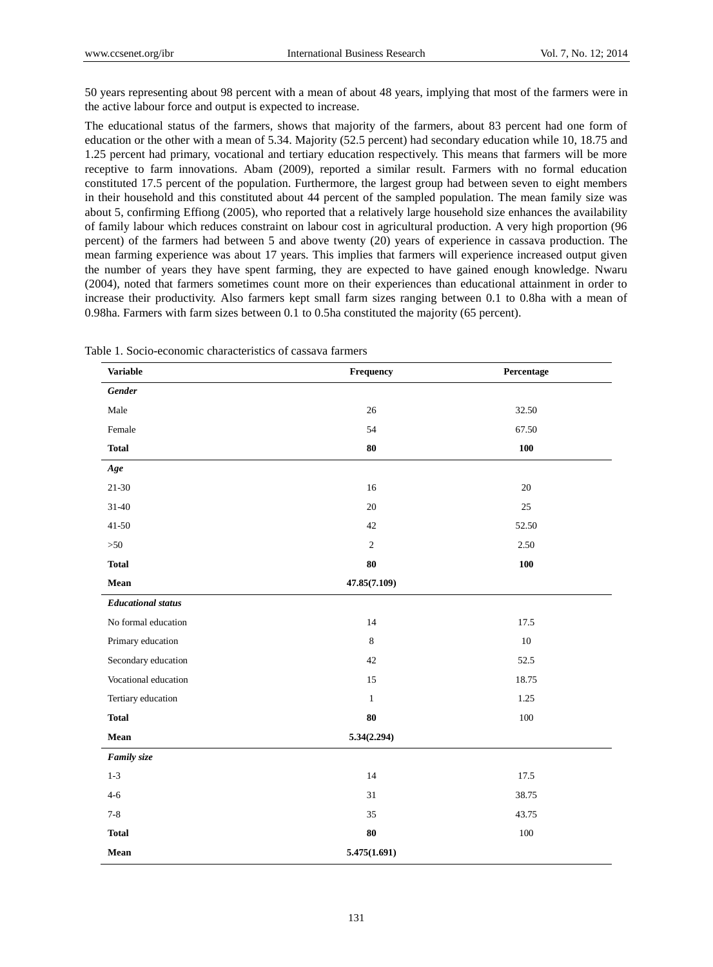50 years representing about 98 percent with a mean of about 48 years, implying that most of the farmers were in the active labour force and output is expected to increase.

The educational status of the farmers, shows that majority of the farmers, about 83 percent had one form of education or the other with a mean of 5.34. Majority (52.5 percent) had secondary education while 10, 18.75 and 1.25 percent had primary, vocational and tertiary education respectively. This means that farmers will be more receptive to farm innovations. Abam (2009), reported a similar result. Farmers with no formal education constituted 17.5 percent of the population. Furthermore, the largest group had between seven to eight members in their household and this constituted about 44 percent of the sampled population. The mean family size was about 5, confirming Effiong (2005), who reported that a relatively large household size enhances the availability of family labour which reduces constraint on labour cost in agricultural production. A very high proportion (96 percent) of the farmers had between 5 and above twenty (20) years of experience in cassava production. The mean farming experience was about 17 years. This implies that farmers will experience increased output given the number of years they have spent farming, they are expected to have gained enough knowledge. Nwaru (2004), noted that farmers sometimes count more on their experiences than educational attainment in order to increase their productivity. Also farmers kept small farm sizes ranging between 0.1 to 0.8ha with a mean of 0.98ha. Farmers with farm sizes between 0.1 to 0.5ha constituted the majority (65 percent).

| <b>Variable</b>           | Frequency      | Percentage |
|---------------------------|----------------|------------|
| <b>Gender</b>             |                |            |
| Male                      | 26             | 32.50      |
| Female                    | 54             | 67.50      |
| <b>Total</b>              | 80             | 100        |
| Age                       |                |            |
| $21 - 30$                 | $16\,$         | $20\,$     |
| $31 - 40$                 | 20             | 25         |
| $41 - 50$                 | 42             | 52.50      |
| >50                       | $\overline{2}$ | 2.50       |
| <b>Total</b>              | $80\,$         | 100        |
| Mean                      | 47.85(7.109)   |            |
| <b>Educational</b> status |                |            |
| No formal education       | 14             | 17.5       |
| Primary education         | 8              | 10         |
| Secondary education       | 42             | 52.5       |
| Vocational education      | 15             | 18.75      |
| Tertiary education        | $\mathbf{1}$   | 1.25       |
| <b>Total</b>              | 80             | 100        |
| Mean                      | 5.34(2.294)    |            |
| Family size               |                |            |
| $1 - 3$                   | 14             | 17.5       |
| $4 - 6$                   | 31             | 38.75      |
| $7 - 8$                   | 35             | 43.75      |
| <b>Total</b>              | ${\bf 80}$     | 100        |
| Mean                      | 5.475(1.691)   |            |

Table 1. Socio-economic characteristics of cassava farmers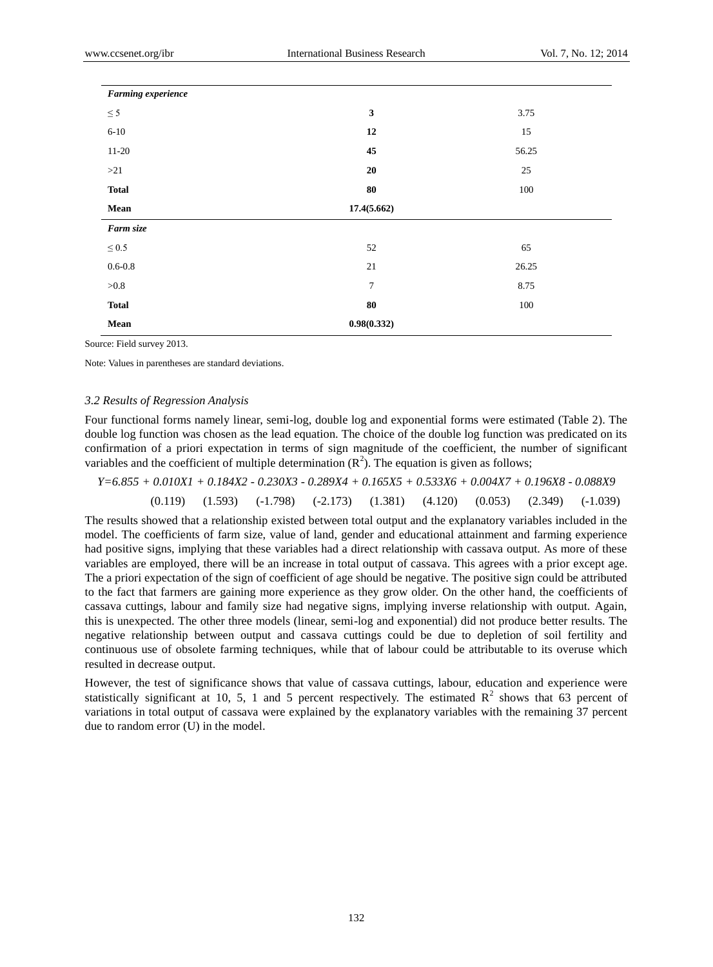| Farming experience |                |       |
|--------------------|----------------|-------|
| $\leq$ 5           | $\mathbf{3}$   | 3.75  |
| $6 - 10$           | 12             | 15    |
| $11 - 20$          | 45             | 56.25 |
| >21                | $20\,$         | 25    |
| <b>Total</b>       | ${\bf 80}$     | 100   |
| Mean               | 17.4(5.662)    |       |
| Farm size          |                |       |
| $\leq 0.5$         | 52             | 65    |
| $0.6 - 0.8$        | 21             | 26.25 |
| ${>}0.8$           | $\overline{7}$ | 8.75  |
| <b>Total</b>       | ${\bf 80}$     | 100   |
| Mean               | 0.98(0.332)    |       |

Source: Field survey 2013.

Note: Values in parentheses are standard deviations.

#### *3.2 Results of Regression Analysis*

Four functional forms namely linear, semi-log, double log and exponential forms were estimated (Table 2). The double log function was chosen as the lead equation. The choice of the double log function was predicated on its confirmation of a priori expectation in terms of sign magnitude of the coefficient, the number of significant variables and the coefficient of multiple determination  $(R^2)$ . The equation is given as follows;

$$
Y=6.855+0.010X1+0.184X2-0.230X3-0.289X4+0.165X5+0.533X6+0.004X7+0.196X8-0.088X9
$$

(0.119) (1.593) (-1.798) (-2.173) (1.381) (4.120) (0.053) (2.349) (-1.039)

The results showed that a relationship existed between total output and the explanatory variables included in the model. The coefficients of farm size, value of land, gender and educational attainment and farming experience had positive signs, implying that these variables had a direct relationship with cassava output. As more of these variables are employed, there will be an increase in total output of cassava. This agrees with a prior except age. The a priori expectation of the sign of coefficient of age should be negative. The positive sign could be attributed to the fact that farmers are gaining more experience as they grow older. On the other hand, the coefficients of cassava cuttings, labour and family size had negative signs, implying inverse relationship with output. Again, this is unexpected. The other three models (linear, semi-log and exponential) did not produce better results. The negative relationship between output and cassava cuttings could be due to depletion of soil fertility and continuous use of obsolete farming techniques, while that of labour could be attributable to its overuse which resulted in decrease output.

However, the test of significance shows that value of cassava cuttings, labour, education and experience were statistically significant at 10, 5, 1 and 5 percent respectively. The estimated  $\mathbb{R}^2$  shows that 63 percent of variations in total output of cassava were explained by the explanatory variables with the remaining 37 percent due to random error (U) in the model.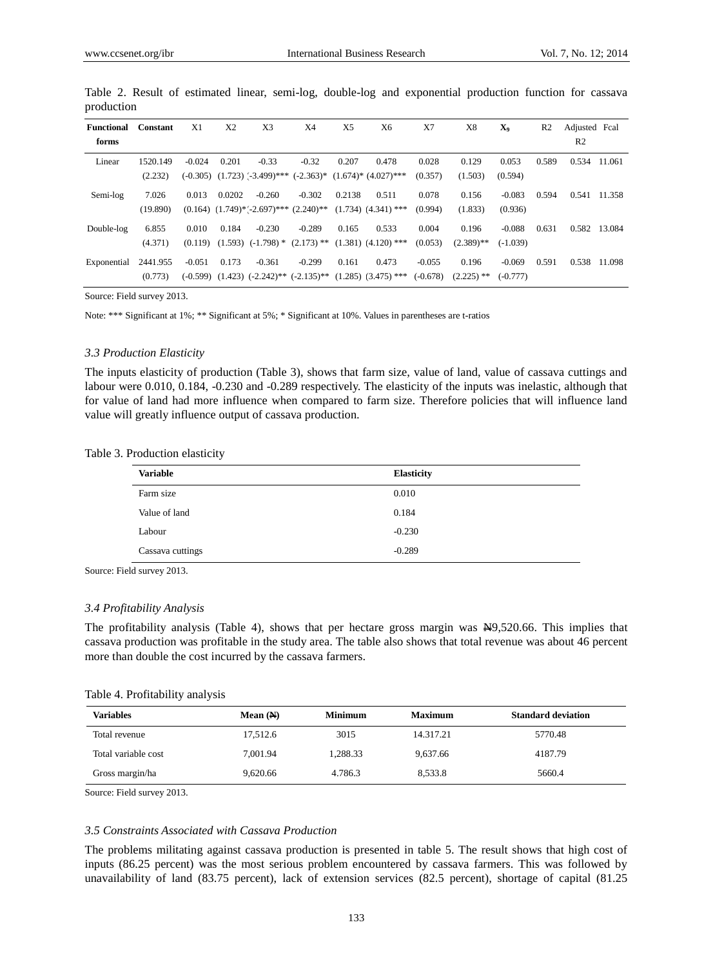| <b>Functional</b> | Constant | X1       | X <sub>2</sub> | X3                                             | X4       | X <sub>5</sub> | X6                                                                                                        | X7         | X8           | X <sub>9</sub> | R <sub>2</sub> | Adjusted Fcal  |        |
|-------------------|----------|----------|----------------|------------------------------------------------|----------|----------------|-----------------------------------------------------------------------------------------------------------|------------|--------------|----------------|----------------|----------------|--------|
| forms             |          |          |                |                                                |          |                |                                                                                                           |            |              |                |                | R <sub>2</sub> |        |
| Linear            | 1520.149 | $-0.024$ | 0.201          | $-0.33$                                        | $-0.32$  | 0.207          | 0.478                                                                                                     | 0.028      | 0.129        | 0.053          | 0.589          | 0.534          | 11.061 |
|                   | (2.232)  |          |                | $(-0.305)$ $(1.723)$ $(-3.499)$ ***            |          |                | $(-2.363)^*$ $(1.674)^*$ $(4.027)^{***}$                                                                  | (0.357)    | (1.503)      | (0.594)        |                |                |        |
| Semi-log          | 7.026    | 0.013    | 0.0202         | $-0.260$                                       | $-0.302$ | 0.2138         | 0.511                                                                                                     | 0.078      | 0.156        | $-0.083$       | 0.594          | 0.541          | 11.358 |
|                   | (19.890) |          |                | $(0.164)$ $(1.749)*(-2.697)***$ $(2.240)**$    |          |                | $(1.734)$ $(4.341)$ ***                                                                                   | (0.994)    | (1.833)      | (0.936)        |                |                |        |
| Double-log        | 6.855    | 0.010    | 0.184          | $-0.230$                                       | $-0.289$ | 0.165          | 0.533                                                                                                     | 0.004      | 0.196        | $-0.088$       | 0.631          | 0.582          | 13.084 |
|                   | (4.371)  |          |                | $(0.119)$ $(1.593)$ $(-1.798)$ $*(2.173)$ $**$ |          |                | $(1.381)$ $(4.120)$ ***                                                                                   | (0.053)    | $(2.389)$ ** | $(-1.039)$     |                |                |        |
| Exponential       | 2441.955 | $-0.051$ | 0.173          | $-0.361$                                       | $-0.299$ | 0.161          | 0.473                                                                                                     | $-0.055$   | 0.196        | $-0.069$       | 0.591          | 0.538          | 11.098 |
|                   | (0.773)  |          |                |                                                |          |                | $(-0.599)$ $(1.423)$ $(-2.242)$ <sup>**</sup> $(-2.135)$ <sup>**</sup> $(1.285)$ $(3.475)$ <sup>***</sup> | $(-0.678)$ | $(2.225)$ ** | $(-0.777)$     |                |                |        |

|            |  |  |  | Table 2. Result of estimated linear, semi-log, double-log and exponential production function for cassava |  |  |
|------------|--|--|--|-----------------------------------------------------------------------------------------------------------|--|--|
| production |  |  |  |                                                                                                           |  |  |

Source: Field survey 2013.

Note: \*\*\* Significant at 1%; \*\* Significant at 5%; \* Significant at 10%. Values in parentheses are t-ratios

#### *3.3 Production Elasticity*

The inputs elasticity of production (Table 3), shows that farm size, value of land, value of cassava cuttings and labour were 0.010, 0.184, -0.230 and -0.289 respectively. The elasticity of the inputs was inelastic, although that for value of land had more influence when compared to farm size. Therefore policies that will influence land value will greatly influence output of cassava production.

#### Table 3. Production elasticity

| <b>Variable</b>  | <b>Elasticity</b> |
|------------------|-------------------|
| Farm size        | 0.010             |
| Value of land    | 0.184             |
| Labour           | $-0.230$          |
| Cassava cuttings | $-0.289$          |

Source: Field survey 2013.

#### *3.4 Profitability Analysis*

The profitability analysis (Table 4), shows that per hectare gross margin was N9,520.66. This implies that cassava production was profitable in the study area. The table also shows that total revenue was about 46 percent more than double the cost incurred by the cassava farmers.

|  |  | Table 4. Profitability analysis |
|--|--|---------------------------------|
|  |  |                                 |

| <b>Variables</b>    | Mean $(M)$ | <b>Minimum</b> | <b>Maximum</b> | <b>Standard deviation</b> |
|---------------------|------------|----------------|----------------|---------------------------|
| Total revenue       | 17.512.6   | 3015           | 14.317.21      | 5770.48                   |
| Total variable cost | 7.001.94   | 1,288.33       | 9,637.66       | 4187.79                   |
| Gross margin/ha     | 9.620.66   | 4.786.3        | 8,533.8        | 5660.4                    |

Source: Field survey 2013.

#### *3.5 Constraints Associated with Cassava Production*

The problems militating against cassava production is presented in table 5. The result shows that high cost of inputs (86.25 percent) was the most serious problem encountered by cassava farmers. This was followed by unavailability of land (83.75 percent), lack of extension services (82.5 percent), shortage of capital (81.25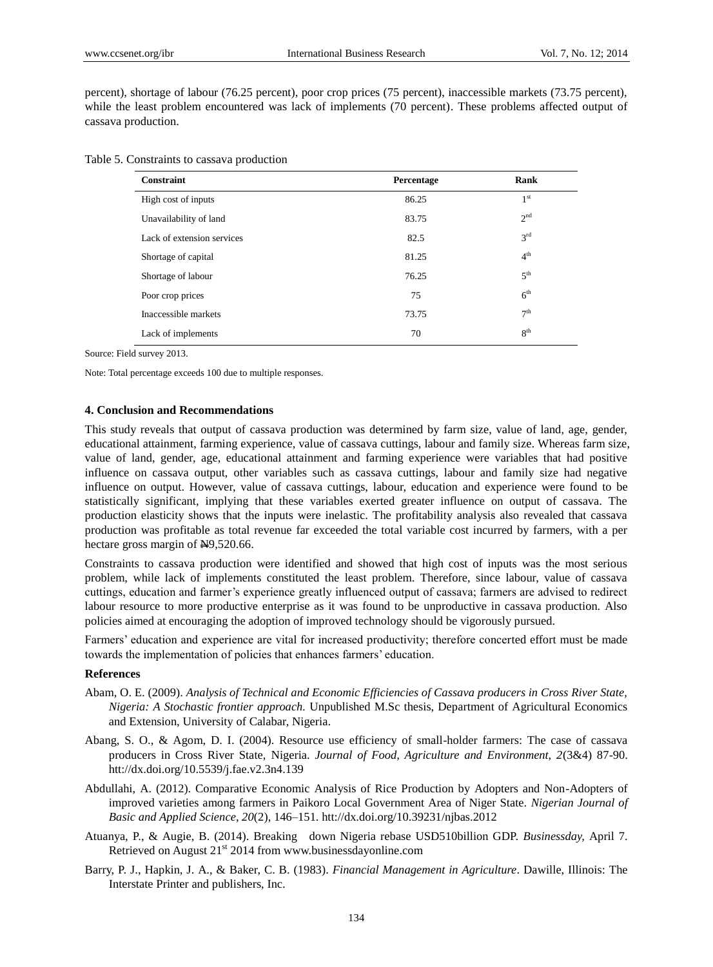percent), shortage of labour (76.25 percent), poor crop prices (75 percent), inaccessible markets (73.75 percent), while the least problem encountered was lack of implements (70 percent). These problems affected output of cassava production.

|  | Table 5. Constraints to cassava production |  |  |
|--|--------------------------------------------|--|--|
|--|--------------------------------------------|--|--|

| Constraint                 | Percentage | Rank            |
|----------------------------|------------|-----------------|
| High cost of inputs        | 86.25      | 1 <sup>st</sup> |
| Unavailability of land     | 83.75      | 2 <sup>nd</sup> |
| Lack of extension services | 82.5       | 3 <sup>rd</sup> |
| Shortage of capital        | 81.25      | 4 <sup>th</sup> |
| Shortage of labour         | 76.25      | 5 <sup>th</sup> |
| Poor crop prices           | 75         | $6^{\text{th}}$ |
| Inaccessible markets       | 73.75      | 7 <sup>th</sup> |
| Lack of implements         | 70         | 8 <sup>th</sup> |

Source: Field survey 2013.

Note: Total percentage exceeds 100 due to multiple responses.

#### **4. Conclusion and Recommendations**

This study reveals that output of cassava production was determined by farm size, value of land, age, gender, educational attainment, farming experience, value of cassava cuttings, labour and family size. Whereas farm size, value of land, gender, age, educational attainment and farming experience were variables that had positive influence on cassava output, other variables such as cassava cuttings, labour and family size had negative influence on output. However, value of cassava cuttings, labour, education and experience were found to be statistically significant, implying that these variables exerted greater influence on output of cassava. The production elasticity shows that the inputs were inelastic. The profitability analysis also revealed that cassava production was profitable as total revenue far exceeded the total variable cost incurred by farmers, with a per hectare gross margin of N9,520.66.

Constraints to cassava production were identified and showed that high cost of inputs was the most serious problem, while lack of implements constituted the least problem. Therefore, since labour, value of cassava cuttings, education and farmer's experience greatly influenced output of cassava; farmers are advised to redirect labour resource to more productive enterprise as it was found to be unproductive in cassava production. Also policies aimed at encouraging the adoption of improved technology should be vigorously pursued.

Farmers' education and experience are vital for increased productivity; therefore concerted effort must be made towards the implementation of policies that enhances farmers' education.

## **References**

- Abam, O. E. (2009). *Analysis of Technical and Economic Efficiencies of Cassava producers in Cross River State, Nigeria: A Stochastic frontier approach.* Unpublished M.Sc thesis, Department of Agricultural Economics and Extension, University of Calabar, Nigeria.
- Abang, S. O., & Agom, D. I. (2004). Resource use efficiency of small-holder farmers: The case of cassava producers in Cross River State, Nigeria. *Journal of Food, Agriculture and Environment, 2*(3&4) 87-90. htt://dx.doi.org/10.5539/j.fae.v2.3n4.139
- Abdullahi, A. (2012). Comparative Economic Analysis of Rice Production by Adopters and Non-Adopters of improved varieties among farmers in Paikoro Local Government Area of Niger State. *Nigerian Journal of Basic and Applied Science, 20*(2), 146–151. htt://dx.doi.org/10.39231/njbas.2012
- Atuanya, P., & Augie, B. (2014). Breaking down Nigeria rebase USD510billion GDP. *Businessday,* April 7. Retrieved on August  $21<sup>st</sup>$  2014 from www.businessdayonline.com
- Barry, P. J., Hapkin, J. A., & Baker, C. B. (1983). *Financial Management in Agriculture*. Dawille, Illinois: The Interstate Printer and publishers, Inc.